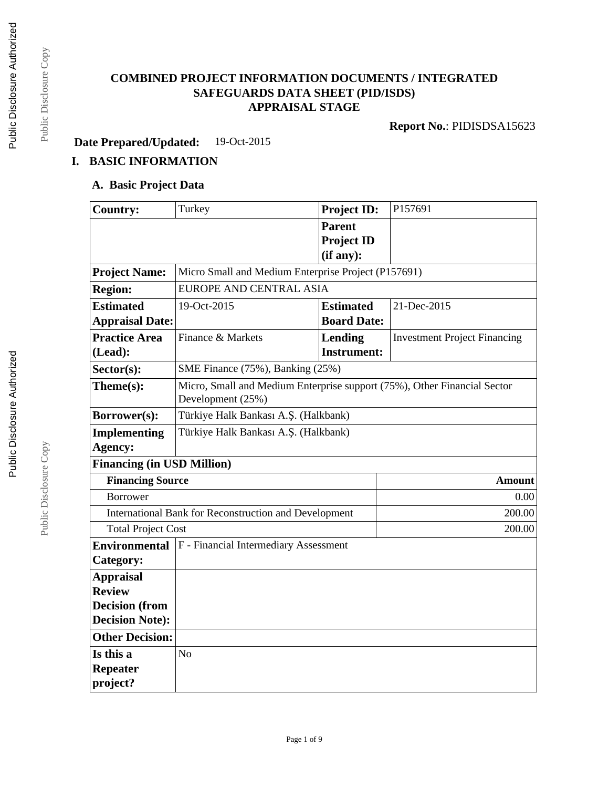## **COMBINED PROJECT INFORMATION DOCUMENTS / INTEGRATED SAFEGUARDS DATA SHEET (PID/ISDS) APPRAISAL STAGE**

**Report No.**: PIDISDSA15623

**Date Prepared/Updated:** 19-Oct-2015

# **I. BASIC INFORMATION**

### **A. Basic Project Data**

| <b>Country:</b>                                       | Turkey                                                                                        | <b>Project ID:</b> | P157691                             |  |  |
|-------------------------------------------------------|-----------------------------------------------------------------------------------------------|--------------------|-------------------------------------|--|--|
|                                                       |                                                                                               | <b>Parent</b>      |                                     |  |  |
|                                                       |                                                                                               | <b>Project ID</b>  |                                     |  |  |
|                                                       |                                                                                               | (if any):          |                                     |  |  |
| <b>Project Name:</b>                                  | Micro Small and Medium Enterprise Project (P157691)                                           |                    |                                     |  |  |
| <b>Region:</b>                                        | <b>EUROPE AND CENTRAL ASIA</b>                                                                |                    |                                     |  |  |
| <b>Estimated</b>                                      | 19-Oct-2015                                                                                   | <b>Estimated</b>   | 21-Dec-2015                         |  |  |
| <b>Appraisal Date:</b>                                |                                                                                               | <b>Board Date:</b> |                                     |  |  |
| <b>Practice Area</b>                                  | Finance & Markets                                                                             | Lending            | <b>Investment Project Financing</b> |  |  |
| (Lead):                                               |                                                                                               | <b>Instrument:</b> |                                     |  |  |
| Sector(s):                                            | SME Finance (75%), Banking (25%)                                                              |                    |                                     |  |  |
| Theme(s):                                             | Micro, Small and Medium Enterprise support (75%), Other Financial Sector<br>Development (25%) |                    |                                     |  |  |
| Borrower(s):                                          | Türkiye Halk Bankası A.Ş. (Halkbank)                                                          |                    |                                     |  |  |
| <b>Implementing</b>                                   | Türkiye Halk Bankası A.Ş. (Halkbank)                                                          |                    |                                     |  |  |
| Agency:                                               |                                                                                               |                    |                                     |  |  |
| <b>Financing (in USD Million)</b>                     |                                                                                               |                    |                                     |  |  |
|                                                       | <b>Financing Source</b><br><b>Amount</b>                                                      |                    |                                     |  |  |
| <b>Borrower</b>                                       |                                                                                               | 0.00               |                                     |  |  |
| International Bank for Reconstruction and Development |                                                                                               |                    | 200.00                              |  |  |
|                                                       | <b>Total Project Cost</b>                                                                     |                    | 200.00                              |  |  |
| <b>Environmental</b>                                  | F - Financial Intermediary Assessment                                                         |                    |                                     |  |  |
| Category:                                             |                                                                                               |                    |                                     |  |  |
| <b>Appraisal</b>                                      |                                                                                               |                    |                                     |  |  |
| <b>Review</b>                                         |                                                                                               |                    |                                     |  |  |
| <b>Decision</b> (from                                 |                                                                                               |                    |                                     |  |  |
| <b>Decision Note:</b>                                 |                                                                                               |                    |                                     |  |  |
| <b>Other Decision:</b>                                |                                                                                               |                    |                                     |  |  |
| Is this a                                             | N <sub>o</sub>                                                                                |                    |                                     |  |  |
| <b>Repeater</b>                                       |                                                                                               |                    |                                     |  |  |
| project?                                              |                                                                                               |                    |                                     |  |  |

Public Disclosure Copy

Public Disclosure Copy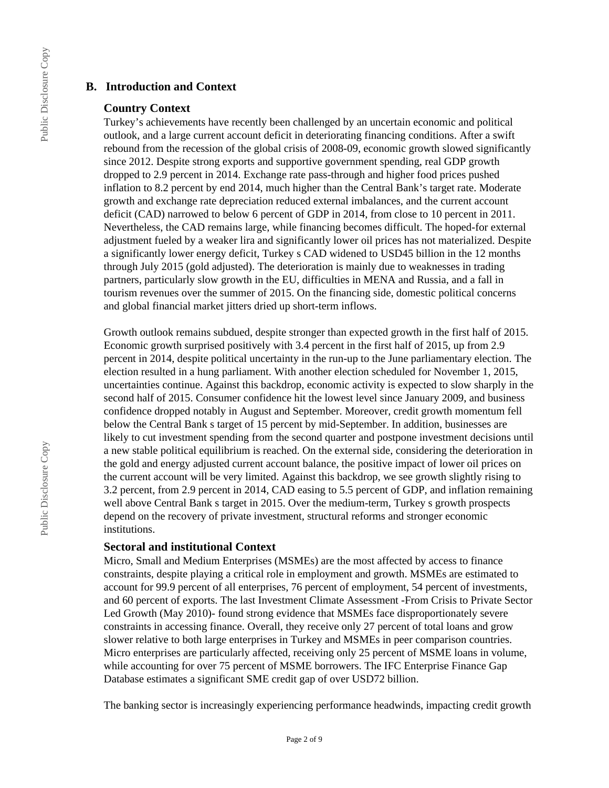### **B. Introduction and Context**

#### **Country Context**

Turkey's achievements have recently been challenged by an uncertain economic and political outlook, and a large current account deficit in deteriorating financing conditions. After a swift rebound from the recession of the global crisis of 2008-09, economic growth slowed significantly since 2012. Despite strong exports and supportive government spending, real GDP growth dropped to 2.9 percent in 2014. Exchange rate pass-through and higher food prices pushed inflation to 8.2 percent by end 2014, much higher than the Central Bank's target rate. Moderate growth and exchange rate depreciation reduced external imbalances, and the current account deficit (CAD) narrowed to below 6 percent of GDP in 2014, from close to 10 percent in 2011. Nevertheless, the CAD remains large, while financing becomes difficult. The hoped-for external adjustment fueled by a weaker lira and significantly lower oil prices has not materialized. Despite a significantly lower energy deficit, Turkey s CAD widened to USD45 billion in the 12 months through July 2015 (gold adjusted). The deterioration is mainly due to weaknesses in trading partners, particularly slow growth in the EU, difficulties in MENA and Russia, and a fall in tourism revenues over the summer of 2015. On the financing side, domestic political concerns and global financial market jitters dried up short-term inflows.

Growth outlook remains subdued, despite stronger than expected growth in the first half of 2015. Economic growth surprised positively with 3.4 percent in the first half of 2015, up from 2.9 percent in 2014, despite political uncertainty in the run-up to the June parliamentary election. The election resulted in a hung parliament. With another election scheduled for November 1, 2015, uncertainties continue. Against this backdrop, economic activity is expected to slow sharply in the second half of 2015. Consumer confidence hit the lowest level since January 2009, and business confidence dropped notably in August and September. Moreover, credit growth momentum fell below the Central Bank s target of 15 percent by mid-September. In addition, businesses are likely to cut investment spending from the second quarter and postpone investment decisions until a new stable political equilibrium is reached. On the external side, considering the deterioration in the gold and energy adjusted current account balance, the positive impact of lower oil prices on the current account will be very limited. Against this backdrop, we see growth slightly rising to 3.2 percent, from 2.9 percent in 2014, CAD easing to 5.5 percent of GDP, and inflation remaining well above Central Bank s target in 2015. Over the medium-term, Turkey s growth prospects depend on the recovery of private investment, structural reforms and stronger economic institutions.

### **Sectoral and institutional Context**

Micro, Small and Medium Enterprises (MSMEs) are the most affected by access to finance constraints, despite playing a critical role in employment and growth. MSMEs are estimated to account for 99.9 percent of all enterprises, 76 percent of employment, 54 percent of investments, and 60 percent of exports. The last Investment Climate Assessment -From Crisis to Private Sector Led Growth (May 2010)- found strong evidence that MSMEs face disproportionately severe constraints in accessing finance. Overall, they receive only 27 percent of total loans and grow slower relative to both large enterprises in Turkey and MSMEs in peer comparison countries. Micro enterprises are particularly affected, receiving only 25 percent of MSME loans in volume, while accounting for over 75 percent of MSME borrowers. The IFC Enterprise Finance Gap Database estimates a significant SME credit gap of over USD72 billion.

The banking sector is increasingly experiencing performance headwinds, impacting credit growth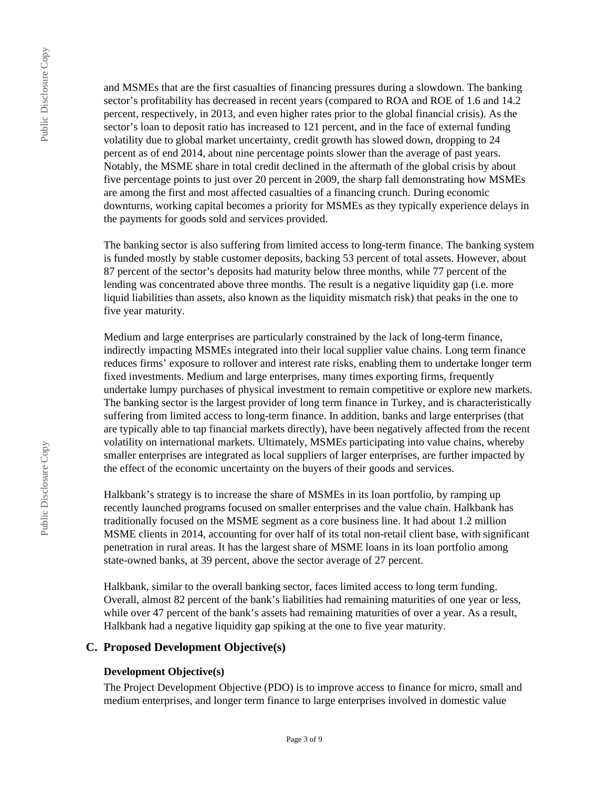Public Disclosure Copy Public Disclosure Copy

and MSMEs that are the first casualties of financing pressures during a slowdown. The banking sector's profitability has decreased in recent years (compared to ROA and ROE of 1.6 and 14.2) percent, respectively, in 2013, and even higher rates prior to the global financial crisis). As the sector's loan to deposit ratio has increased to 121 percent, and in the face of external funding volatility due to global market uncertainty, credit growth has slowed down, dropping to 24 percent as of end 2014, about nine percentage points slower than the average of past years. Notably, the MSME share in total credit declined in the aftermath of the global crisis by about five percentage points to just over 20 percent in 2009, the sharp fall demonstrating how MSMEs are among the first and most affected casualties of a financing crunch. During economic downturns, working capital becomes a priority for MSMEs as they typically experience delays in the payments for goods sold and services provided.

The banking sector is also suffering from limited access to long-term finance. The banking system is funded mostly by stable customer deposits, backing 53 percent of total assets. However, about 87 percent of the sector's deposits had maturity below three months, while 77 percent of the lending was concentrated above three months. The result is a negative liquidity gap (i.e. more liquid liabilities than assets, also known as the liquidity mismatch risk) that peaks in the one to five year maturity.

Medium and large enterprises are particularly constrained by the lack of long-term finance, indirectly impacting MSMEs integrated into their local supplier value chains. Long term finance reduces firms' exposure to rollover and interest rate risks, enabling them to undertake longer term fixed investments. Medium and large enterprises, many times exporting firms, frequently undertake lumpy purchases of physical investment to remain competitive or explore new markets. The banking sector is the largest provider of long term finance in Turkey, and is characteristically suffering from limited access to long-term finance. In addition, banks and large enterprises (that are typically able to tap financial markets directly), have been negatively affected from the recent volatility on international markets. Ultimately, MSMEs participating into value chains, whereby smaller enterprises are integrated as local suppliers of larger enterprises, are further impacted by the effect of the economic uncertainty on the buyers of their goods and services.

Halkbank's strategy is to increase the share of MSMEs in its loan portfolio, by ramping up recently launched programs focused on smaller enterprises and the value chain. Halkbank has traditionally focused on the MSME segment as a core business line. It had about 1.2 million MSME clients in 2014, accounting for over half of its total non-retail client base, with significant penetration in rural areas. It has the largest share of MSME loans in its loan portfolio among state-owned banks, at 39 percent, above the sector average of 27 percent.

Halkbank, similar to the overall banking sector, faces limited access to long term funding. Overall, almost 82 percent of the bank's liabilities had remaining maturities of one year or less, while over 47 percent of the bank's assets had remaining maturities of over a year. As a result, Halkbank had a negative liquidity gap spiking at the one to five year maturity.

### **C. Proposed Development Objective(s)**

### **Development Objective(s)**

The Project Development Objective (PDO) is to improve access to finance for micro, small and medium enterprises, and longer term finance to large enterprises involved in domestic value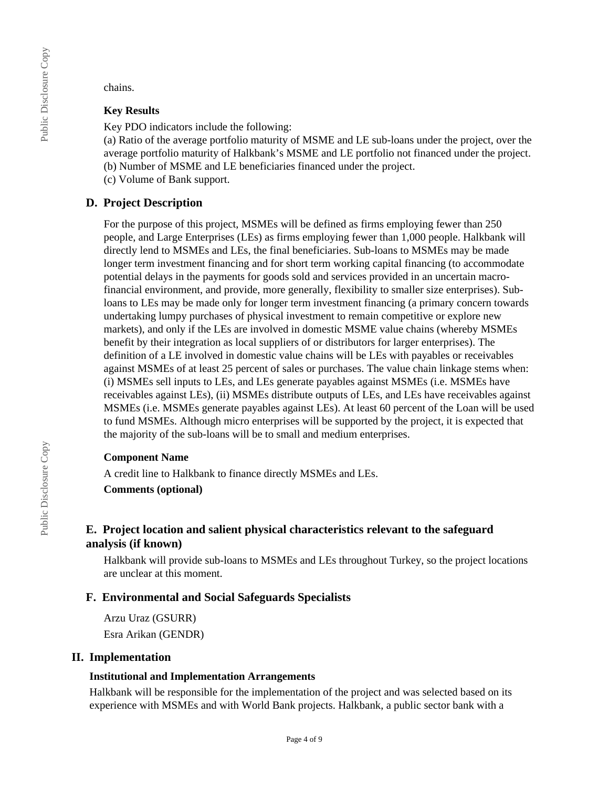chains.

### **Key Results**

Key PDO indicators include the following:

(a) Ratio of the average portfolio maturity of MSME and LE sub-loans under the project, over the average portfolio maturity of Halkbank's MSME and LE portfolio not financed under the project. (b) Number of MSME and LE beneficiaries financed under the project.

(c) Volume of Bank support.

# **D. Project Description**

For the purpose of this project, MSMEs will be defined as firms employing fewer than 250 people, and Large Enterprises (LEs) as firms employing fewer than 1,000 people. Halkbank will directly lend to MSMEs and LEs, the final beneficiaries. Sub-loans to MSMEs may be made longer term investment financing and for short term working capital financing (to accommodate potential delays in the payments for goods sold and services provided in an uncertain macrofinancial environment, and provide, more generally, flexibility to smaller size enterprises). Subloans to LEs may be made only for longer term investment financing (a primary concern towards undertaking lumpy purchases of physical investment to remain competitive or explore new markets), and only if the LEs are involved in domestic MSME value chains (whereby MSMEs benefit by their integration as local suppliers of or distributors for larger enterprises). The definition of a LE involved in domestic value chains will be LEs with payables or receivables against MSMEs of at least 25 percent of sales or purchases. The value chain linkage stems when: (i) MSMEs sell inputs to LEs, and LEs generate payables against MSMEs (i.e. MSMEs have receivables against LEs), (ii) MSMEs distribute outputs of LEs, and LEs have receivables against MSMEs (i.e. MSMEs generate payables against LEs). At least 60 percent of the Loan will be used to fund MSMEs. Although micro enterprises will be supported by the project, it is expected that the majority of the sub-loans will be to small and medium enterprises.

### **Component Name**

A credit line to Halkbank to finance directly MSMEs and LEs.

### **Comments (optional)**

## **E. Project location and salient physical characteristics relevant to the safeguard analysis (if known)**

Halkbank will provide sub-loans to MSMEs and LEs throughout Turkey, so the project locations are unclear at this moment.

### **F. Environmental and Social Safeguards Specialists**

Arzu Uraz (GSURR) Esra Arikan (GENDR)

### **II. Implementation**

### **Institutional and Implementation Arrangements**

Halkbank will be responsible for the implementation of the project and was selected based on its experience with MSMEs and with World Bank projects. Halkbank, a public sector bank with a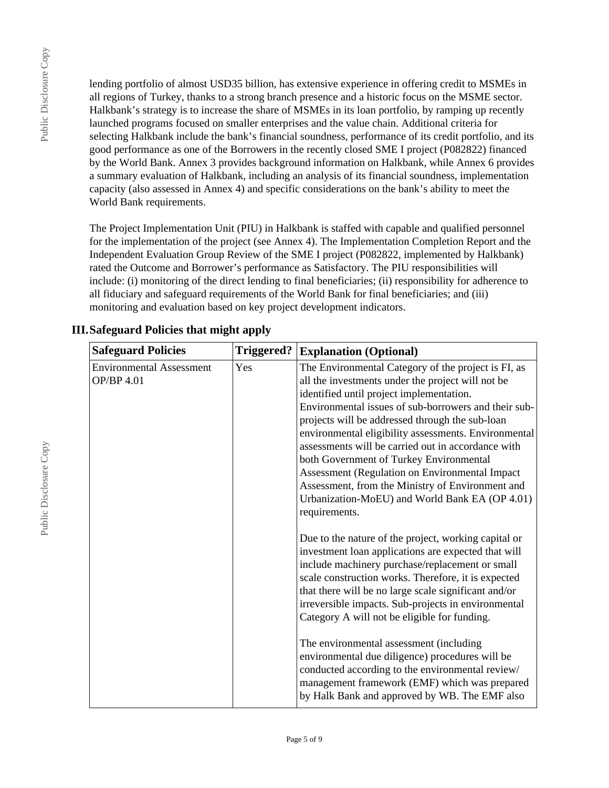Public Disclosure Copy

Public Disclosure Copy

lending portfolio of almost USD35 billion, has extensive experience in offering credit to MSMEs in all regions of Turkey, thanks to a strong branch presence and a historic focus on the MSME sector. Halkbank's strategy is to increase the share of MSMEs in its loan portfolio, by ramping up recently launched programs focused on smaller enterprises and the value chain. Additional criteria for selecting Halkbank include the bank's financial soundness, performance of its credit portfolio, and its good performance as one of the Borrowers in the recently closed SME I project (P082822) financed by the World Bank. Annex 3 provides background information on Halkbank, while Annex 6 provides a summary evaluation of Halkbank, including an analysis of its financial soundness, implementation capacity (also assessed in Annex 4) and specific considerations on the bank's ability to meet the World Bank requirements.

The Project Implementation Unit (PIU) in Halkbank is staffed with capable and qualified personnel for the implementation of the project (see Annex 4). The Implementation Completion Report and the Independent Evaluation Group Review of the SME I project (P082822, implemented by Halkbank) rated the Outcome and Borrower's performance as Satisfactory. The PIU responsibilities will include: (i) monitoring of the direct lending to final beneficiaries; (ii) responsibility for adherence to all fiduciary and safeguard requirements of the World Bank for final beneficiaries; and (iii) monitoring and evaluation based on key project development indicators.

| <b>Safeguard Policies</b>                            | <b>Triggered?</b> | <b>Explanation (Optional)</b>                                                                                                                                                                                                                                                                                                                                                                                                                                                                                                                                                                                                            |
|------------------------------------------------------|-------------------|------------------------------------------------------------------------------------------------------------------------------------------------------------------------------------------------------------------------------------------------------------------------------------------------------------------------------------------------------------------------------------------------------------------------------------------------------------------------------------------------------------------------------------------------------------------------------------------------------------------------------------------|
| <b>Environmental Assessment</b><br><b>OP/BP 4.01</b> | Yes               | The Environmental Category of the project is FI, as<br>all the investments under the project will not be<br>identified until project implementation.<br>Environmental issues of sub-borrowers and their sub-<br>projects will be addressed through the sub-loan<br>environmental eligibility assessments. Environmental<br>assessments will be carried out in accordance with<br>both Government of Turkey Environmental<br>Assessment (Regulation on Environmental Impact)<br>Assessment, from the Ministry of Environment and<br>Urbanization-MoEU) and World Bank EA (OP 4.01)<br>requirements.                                       |
|                                                      |                   | Due to the nature of the project, working capital or<br>investment loan applications are expected that will<br>include machinery purchase/replacement or small<br>scale construction works. Therefore, it is expected<br>that there will be no large scale significant and/or<br>irreversible impacts. Sub-projects in environmental<br>Category A will not be eligible for funding.<br>The environmental assessment (including<br>environmental due diligence) procedures will be<br>conducted according to the environmental review/<br>management framework (EMF) which was prepared<br>by Halk Bank and approved by WB. The EMF also |

## **III.Safeguard Policies that might apply**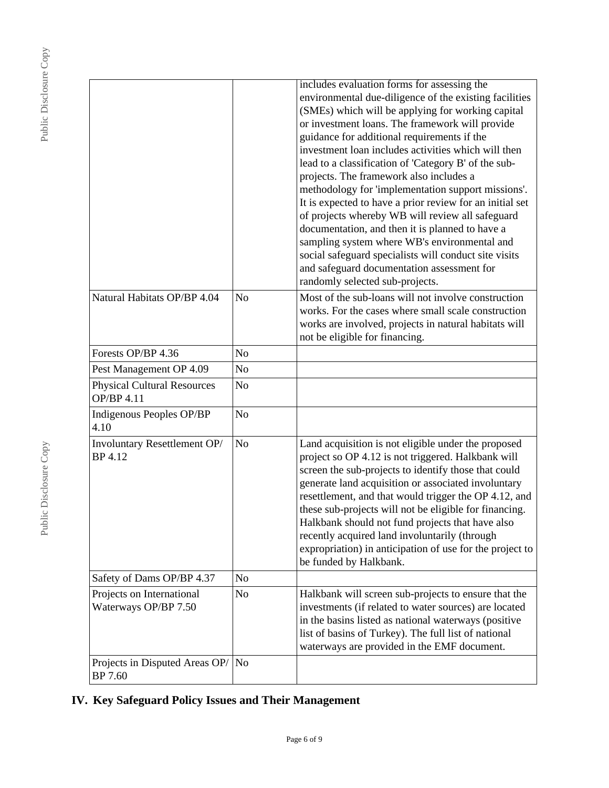|                                      | includes evaluation forms for assessing the<br>environmental due-diligence of the existing facilities<br>(SMEs) which will be applying for working capital<br>or investment loans. The framework will provide<br>guidance for additional requirements if the<br>investment loan includes activities which will then<br>lead to a classification of 'Category B' of the sub-<br>projects. The framework also includes a<br>methodology for 'implementation support missions'.<br>It is expected to have a prior review for an initial set<br>of projects whereby WB will review all safeguard<br>documentation, and then it is planned to have a<br>sampling system where WB's environmental and<br>social safeguard specialists will conduct site visits<br>and safeguard documentation assessment for<br>randomly selected sub-projects. |
|--------------------------------------|-------------------------------------------------------------------------------------------------------------------------------------------------------------------------------------------------------------------------------------------------------------------------------------------------------------------------------------------------------------------------------------------------------------------------------------------------------------------------------------------------------------------------------------------------------------------------------------------------------------------------------------------------------------------------------------------------------------------------------------------------------------------------------------------------------------------------------------------|
| N <sub>o</sub>                       | Most of the sub-loans will not involve construction<br>works. For the cases where small scale construction<br>works are involved, projects in natural habitats will<br>not be eligible for financing.                                                                                                                                                                                                                                                                                                                                                                                                                                                                                                                                                                                                                                     |
| N <sub>o</sub>                       |                                                                                                                                                                                                                                                                                                                                                                                                                                                                                                                                                                                                                                                                                                                                                                                                                                           |
| N <sub>o</sub>                       |                                                                                                                                                                                                                                                                                                                                                                                                                                                                                                                                                                                                                                                                                                                                                                                                                                           |
| N <sub>o</sub>                       |                                                                                                                                                                                                                                                                                                                                                                                                                                                                                                                                                                                                                                                                                                                                                                                                                                           |
| N <sub>o</sub>                       |                                                                                                                                                                                                                                                                                                                                                                                                                                                                                                                                                                                                                                                                                                                                                                                                                                           |
| N <sub>o</sub>                       | Land acquisition is not eligible under the proposed<br>project so OP 4.12 is not triggered. Halkbank will<br>screen the sub-projects to identify those that could<br>generate land acquisition or associated involuntary<br>resettlement, and that would trigger the OP 4.12, and<br>these sub-projects will not be eligible for financing.<br>Halkbank should not fund projects that have also<br>recently acquired land involuntarily (through<br>expropriation) in anticipation of use for the project to<br>be funded by Halkbank.                                                                                                                                                                                                                                                                                                    |
| No                                   |                                                                                                                                                                                                                                                                                                                                                                                                                                                                                                                                                                                                                                                                                                                                                                                                                                           |
| No                                   | Halkbank will screen sub-projects to ensure that the<br>investments (if related to water sources) are located<br>in the basins listed as national waterways (positive<br>list of basins of Turkey). The full list of national<br>waterways are provided in the EMF document.                                                                                                                                                                                                                                                                                                                                                                                                                                                                                                                                                              |
| Projects in Disputed Areas OP/<br>No |                                                                                                                                                                                                                                                                                                                                                                                                                                                                                                                                                                                                                                                                                                                                                                                                                                           |
|                                      |                                                                                                                                                                                                                                                                                                                                                                                                                                                                                                                                                                                                                                                                                                                                                                                                                                           |

# **IV. Key Safeguard Policy Issues and Their Management**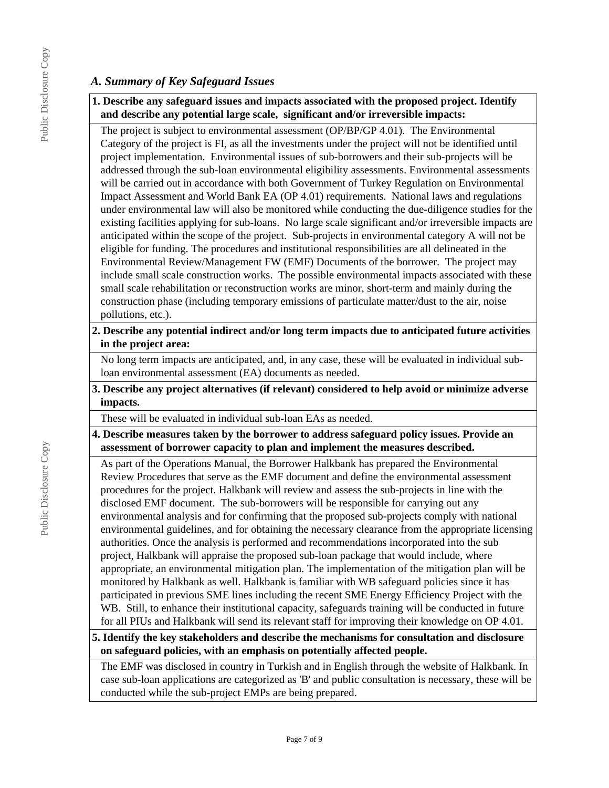### *A. Summary of Key Safeguard Issues*

### **1. Describe any safeguard issues and impacts associated with the proposed project. Identify and describe any potential large scale, significant and/or irreversible impacts:**

The project is subject to environmental assessment (OP/BP/GP 4.01). The Environmental Category of the project is FI, as all the investments under the project will not be identified until project implementation. Environmental issues of sub-borrowers and their sub-projects will be addressed through the sub-loan environmental eligibility assessments. Environmental assessments will be carried out in accordance with both Government of Turkey Regulation on Environmental Impact Assessment and World Bank EA (OP 4.01) requirements. National laws and regulations under environmental law will also be monitored while conducting the due-diligence studies for the existing facilities applying for sub-loans. No large scale significant and/or irreversible impacts are anticipated within the scope of the project. Sub-projects in environmental category A will not be eligible for funding. The procedures and institutional responsibilities are all delineated in the Environmental Review/Management FW (EMF) Documents of the borrower. The project may include small scale construction works. The possible environmental impacts associated with these small scale rehabilitation or reconstruction works are minor, short-term and mainly during the construction phase (including temporary emissions of particulate matter/dust to the air, noise pollutions, etc.).

### **2. Describe any potential indirect and/or long term impacts due to anticipated future activities in the project area:**

No long term impacts are anticipated, and, in any case, these will be evaluated in individual subloan environmental assessment (EA) documents as needed.

**3. Describe any project alternatives (if relevant) considered to help avoid or minimize adverse impacts.**

These will be evaluated in individual sub-loan EAs as needed.

### **4. Describe measures taken by the borrower to address safeguard policy issues. Provide an assessment of borrower capacity to plan and implement the measures described.**

As part of the Operations Manual, the Borrower Halkbank has prepared the Environmental Review Procedures that serve as the EMF document and define the environmental assessment procedures for the project. Halkbank will review and assess the sub-projects in line with the disclosed EMF document. The sub-borrowers will be responsible for carrying out any environmental analysis and for confirming that the proposed sub-projects comply with national environmental guidelines, and for obtaining the necessary clearance from the appropriate licensing authorities. Once the analysis is performed and recommendations incorporated into the sub project, Halkbank will appraise the proposed sub-loan package that would include, where appropriate, an environmental mitigation plan. The implementation of the mitigation plan will be monitored by Halkbank as well. Halkbank is familiar with WB safeguard policies since it has participated in previous SME lines including the recent SME Energy Efficiency Project with the WB. Still, to enhance their institutional capacity, safeguards training will be conducted in future for all PIUs and Halkbank will send its relevant staff for improving their knowledge on OP 4.01.

### **5. Identify the key stakeholders and describe the mechanisms for consultation and disclosure on safeguard policies, with an emphasis on potentially affected people.**

The EMF was disclosed in country in Turkish and in English through the website of Halkbank. In case sub-loan applications are categorized as 'B' and public consultation is necessary, these will be conducted while the sub-project EMPs are being prepared.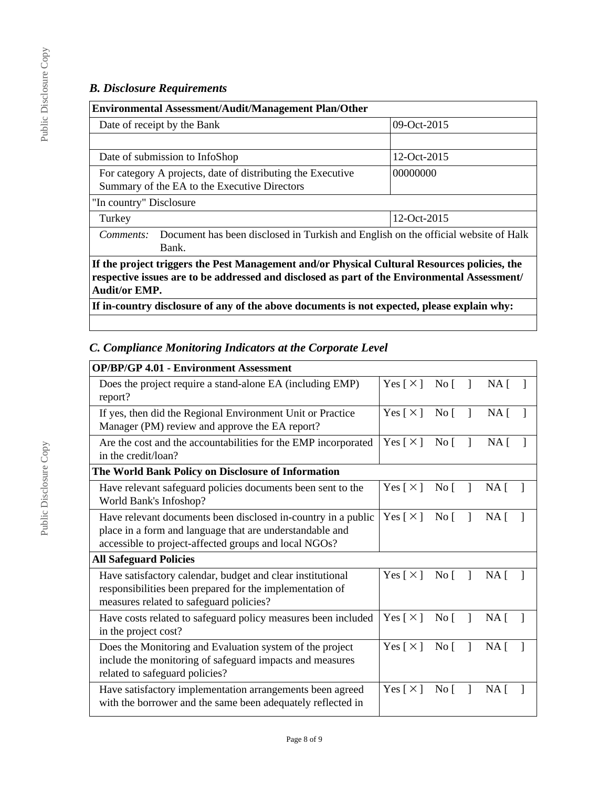## *B. Disclosure Requirements*

| <b>Environmental Assessment/Audit/Management Plan/Other</b>                                                                                                                                                          |             |  |
|----------------------------------------------------------------------------------------------------------------------------------------------------------------------------------------------------------------------|-------------|--|
| Date of receipt by the Bank                                                                                                                                                                                          | 09-Oct-2015 |  |
|                                                                                                                                                                                                                      |             |  |
| Date of submission to InfoShop                                                                                                                                                                                       | 12-Oct-2015 |  |
| For category A projects, date of distributing the Executive<br>00000000<br>Summary of the EA to the Executive Directors                                                                                              |             |  |
| "In country" Disclosure                                                                                                                                                                                              |             |  |
| Turkey                                                                                                                                                                                                               | 12-Oct-2015 |  |
| Document has been disclosed in Turkish and English on the official website of Halk<br>Comments:<br>Bank.                                                                                                             |             |  |
| If the project triggers the Pest Management and/or Physical Cultural Resources policies, the<br>respective issues are to be addressed and disclosed as part of the Environmental Assessment/<br><b>Audit/or EMP.</b> |             |  |
| If in-country disclosure of any of the above documents is not expected, please explain why:                                                                                                                          |             |  |

# *C. Compliance Monitoring Indicators at the Corporate Level*

| <b>OP/BP/GP 4.01 - Environment Assessment</b>                                                                                                                                      |                            |                  |   |                 |  |
|------------------------------------------------------------------------------------------------------------------------------------------------------------------------------------|----------------------------|------------------|---|-----------------|--|
| Does the project require a stand-alone EA (including EMP)<br>report?                                                                                                               | Yes $\lceil \times \rceil$ | No <sub>1</sub>  |   | NA <sub>1</sub> |  |
| If yes, then did the Regional Environment Unit or Practice<br>Manager (PM) review and approve the EA report?                                                                       | Yes $\lceil \times \rceil$ | No <sub>1</sub>  |   | $NA \mid$       |  |
| Are the cost and the accountabilities for the EMP incorporated<br>in the credit/loan?                                                                                              | Yes $\lceil \times \rceil$ | $\overline{N}$ o | 1 | NA <sub>1</sub> |  |
| The World Bank Policy on Disclosure of Information                                                                                                                                 |                            |                  |   |                 |  |
| Have relevant safeguard policies documents been sent to the<br>World Bank's Infoshop?                                                                                              | Yes $\lceil \times \rceil$ | No <sub>1</sub>  | 1 | NA <sub>1</sub> |  |
| Have relevant documents been disclosed in-country in a public<br>place in a form and language that are understandable and<br>accessible to project-affected groups and local NGOs? | Yes $\lceil \times \rceil$ | No $\lceil$      |   | $NA$ [          |  |
| <b>All Safeguard Policies</b>                                                                                                                                                      |                            |                  |   |                 |  |
| Have satisfactory calendar, budget and clear institutional<br>responsibilities been prepared for the implementation of<br>measures related to safeguard policies?                  | Yes $\lceil \times \rceil$ | No [             |   | NA <sub>1</sub> |  |
| Have costs related to safeguard policy measures been included<br>in the project cost?                                                                                              | Yes $\lceil \times \rceil$ | No <sub>1</sub>  |   | NA <sub>1</sub> |  |
| Does the Monitoring and Evaluation system of the project<br>include the monitoring of safeguard impacts and measures<br>related to safeguard policies?                             | Yes $\lceil \times \rceil$ | No <sub>1</sub>  |   | NA <sub>1</sub> |  |
| Have satisfactory implementation arrangements been agreed<br>with the borrower and the same been adequately reflected in                                                           | Yes $\lceil \times \rceil$ | No [             | 1 | NA <sub>1</sub> |  |

Public Disclosure Copy

Public Disclosure Copy

Page 8 of 9